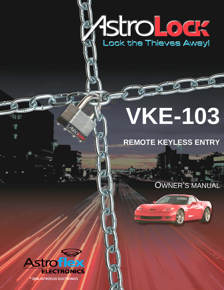# Astro Lodge

# **VKE-103**

## **REMOTE KEYLESS ENTRY**

### OWNER'S MANUAL





® 2006 ASTROFLEX ELECTRONICS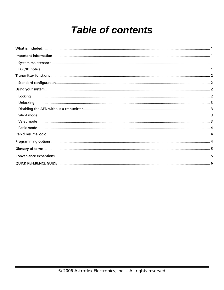# **Table of contents**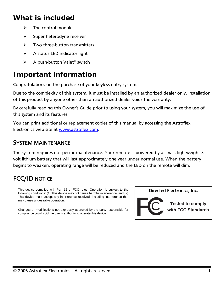#### <span id="page-2-0"></span>*What is included*

- $\triangleright$  The control module
- $\triangleright$  Super heterodyne receiver
- $\triangleright$  Two three-button transmitters
- $\triangleright$  A status LED indicator light
- $\triangleright$  A push-button Valet<sup>®</sup> switch

#### *Important information*

Congratulations on the purchase of your keyless entry system.

Due to the complexity of this system, it must be installed by an authorized dealer only. Installation of this product by anyone other than an authorized dealer voids the warranty.

By carefully reading this Owner's Guide prior to using your system, you will maximize the use of this system and its features.

You can print additional or replacement copies of this manual by accessing the Astroflex Electronics web site at [www.astroflex.com](http://www.astroflex.com/).

#### SYSTEM MAINTENANCE

The system requires no specific maintenance. Your remote is powered by a small, lightweight 3 volt lithium battery that will last approximately one year under normal use. When the battery begins to weaken, operating range will be reduced and the LED on the remote will dim.

#### FCC/ID NOTICE

This device complies with Part 15 of FCC rules. Operation is subject to the **Directed Electronics, Inc.** following conditions: (1) This device may not cause harmful interference, and (2) This device must accept any interference received, including interference that may cause undesirable operation.

Changes or modifications not expressly approved by the party responsible for compliance could void the user's authority to operate this device.



**Tested to comply with FCC Standards**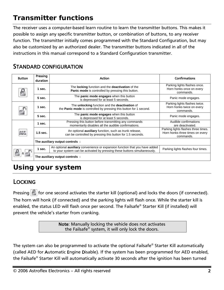#### <span id="page-3-0"></span>*Transmitter functions*

The receiver uses a computer-based learn routine to learn the transmitter buttons. This makes it possible to assign any specific transmitter button, or combination of buttons, to any receiver function. The transmitter initially comes programmed with the Standard Configuration, but may also be customized by an authorized dealer. The transmitter buttons indicated in all of the instructions in this manual correspond to a Standard Configuration transmitter.

#### STANDARD CONFIGURATION

| <b>Button</b> | Pressing<br>duration            | <b>Action</b>                                                                                                                                                   | <b>Confirmations</b>                                                                |
|---------------|---------------------------------|-----------------------------------------------------------------------------------------------------------------------------------------------------------------|-------------------------------------------------------------------------------------|
| $\mathbf{E}$  | 1 sec.                          | The locking function and the deactivation of the<br>Panic mode is controlled by pressing this button.                                                           | Parking lights flashes once.<br>Horn honks once on every<br>commands.               |
|               | 5 sec.                          | The panic mode engages when this button<br>is depressed for at least 5 seconds.                                                                                 | Panic mode engages.                                                                 |
|               | 1 sec.                          | The unlocking function and the deactivation of<br>the Panic mode is controlled by pressing this button for 1 second.                                            | Parking lights flashes twice.<br>Horn honks twice on every<br>commands.             |
|               | 5 sec.                          | The <b>panic mode engages</b> when this button<br>is depressed for at least 5 seconds.                                                                          | Panic mode engages.                                                                 |
|               | 1 sec.                          | Pressing this button before transmitting any commands<br>momentarily disables all the audible confirmations.                                                    | Audible confirmations<br>are deactivated.                                           |
|               | $1.5$ sec.                      | An optional <b>auxiliary</b> function, such as trunk release,<br>can be controlled by pressing this button for 1.5 seconds.                                     | Parking lights flashes three times.<br>Horn honks three times on every<br>commands. |
|               | The auxiliary output controls:  |                                                                                                                                                                 |                                                                                     |
| &             | 1 sec.                          | An optional <b>auxiliary</b> convenience or expansion function that you have added<br>to your system can be activated by pressing these buttons simultaneously. | Parking lights flashes four times.                                                  |
|               | The auxiliary output controls : |                                                                                                                                                                 |                                                                                     |

#### *Using your system*

#### LOCKING

Pressing  $\|\cdot\|$  for one second activates the starter kill (optional) and locks the doors (if connected). The horn will honk (if connected) and the parking lights will flash once. While the starter kill is enabled, the status LED will flash once per second. The Failsafe® Starter Kill (if installed) will prevent the vehicle's starter from cranking.

> Note: Manually locking the vehicle does not activates the Failsafe® system, it will only lock the doors.

The system can also be programmed to activate the optional Failsafe® Starter Kill automatically (called AED for Automatic Engine Disable). If the system has been programmed for AED enabled, the Failsafe® Starter Kill will automatically activate 30 seconds after the ignition has been turned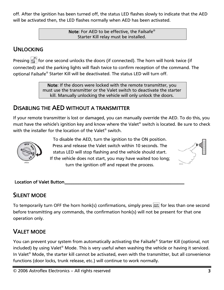<span id="page-4-0"></span>off. After the ignition has been turned off, the status LED flashes slowly to indicate that the AED will be activated then, the LED flashes normally when AED has been activated.

> Note: For AED to be effective, the Failsafe® Starter Kill relay must be installed.

#### UNLOCKING

Pressing  $\blacksquare$  for one second unlocks the doors (if connected). The horn will honk twice (if connected) and the parking lights will flash twice to confirm reception of the command. The optional Failsafe® Starter Kill will be deactivated. The status LED will turn off.

> Note: If the doors were locked with the remote transmitter, you must use the transmitter or the Valet switch to deactivate the starter kill. Manually unlocking the vehicle will only unlock the doors.

#### DISABLING THE AED WITHOUT A TRANSMITTER

If your remote transmitter is lost or damaged, you can manually override the AED. To do this, you must have the vehicle's ignition key and know where the Valet® switch is located. Be sure to check with the installer for the location of the Valet<sup>®</sup> switch.



To disable the AED, turn the ignition to the ON position. Press and release the Valet switch within 10 seconds. The status LED will stop flashing and the vehicle should start. If the vehicle does not start, you may have waited too long; turn the ignition off and repeat the process.



#### Location of Valet Button\_\_\_\_\_\_\_\_\_\_\_\_\_\_\_\_\_\_\_\_\_\_\_\_\_\_\_\_\_\_\_\_\_\_\_\_\_\_\_\_\_\_\_\_\_\_\_\_\_\_\_\_

#### SILENT MODE

To temporarily turn OFF the horn honk(s) confirmations, simply press  $\text{AM}$  for less than one second before transmitting any commands, the confirmation honk(s) will not be present for that one operation only.

#### VALET MODE

You can prevent your system from automatically activating the Failsafe® Starter Kill (optional, not included) by using Valet® Mode. This is very useful when washing the vehicle or having it serviced. In Valet® Mode, the starter kill cannot be activated, even with the transmitter, but all convenience functions (door locks, trunk release, etc.) will continue to work normally.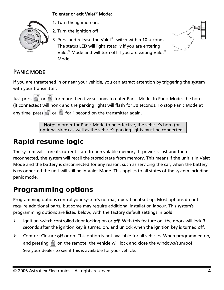#### To enter or exit Valet® Mode:

<span id="page-5-0"></span>

1. Turn the ignition on.

2. Turn the ignition off.

3. Press and release the Valet® switch within 10 seconds. The status LED will light steadily if you are entering Valet® Mode and will turn off if you are exiting Valet® Mode.



#### PANIC MODE

If you are threatened in or near your vehicle, you can attract attention by triggering the system with your transmitter.

Just press  $\begin{array}{|c|c|c|c|c|}\hline \multicolumn{1}{|c|}{\text{for}} & \multicolumn{1}{|c|}{\text{for}} & \multicolumn{1}{|c|}{\text{for}} & \multicolumn{1}{|c|}{\text{for}} & \multicolumn{1}{|c|}{\text{for}} & \multicolumn{1}{|c|}{\text{for}} & \multicolumn{1}{|c|}{\text{for}} & \multicolumn{1}{|c|}{\text{for}} & \multicolumn{1}{|c|}{\text{for}} & \multicolumn{1}{|c|}{\text{for}} & \multicolumn{1}{|c|}{\text{for}} & \multic$ (if connected) will honk and the parking lights will flash for 30 seconds. To stop Panic Mode at any time, press  $\blacksquare$  or  $\blacksquare$  for 1 second on the transmitter again.

> Note: In order for Panic Mode to be effective, the vehicle's horn (or optional siren) as well as the vehicle's parking lights must be connected.

#### *Rapid resume logic*

The system will store its current state to non-volatile memory. If power is lost and then reconnected, the system will recall the stored state from memory. This means if the unit is in Valet Mode and the battery is disconnected for any reason, such as servicing the car, when the battery is reconnected the unit will still be in Valet Mode. This applies to all states of the system including panic mode.

#### *Programming options*

Programming options control your system's normal, operational set-up. Most options do not require additional parts, but some may require additional installation labour. This system's programming options are listed below, with the factory default settings in bold:

- $\triangleright$  Ignition switch-controlled door-locking on or off. With this feature on, the doors will lock 3 seconds after the ignition key is turned on, and unlock when the ignition key is turned off.
- ¾ Comfort Closure off or on. This option is not available for all vehicles. When programmed on, and pressing  $\|\cdot\|$  on the remote, the vehicle will lock and close the windows/sunroof. See your dealer to see if this is available for your vehicle.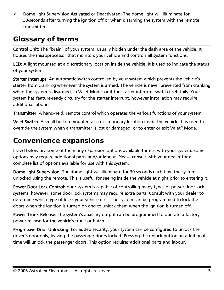<span id="page-6-0"></span> $\triangleright$  Dome light Supervision Activated or Deactivated: The dome light will illuminate for 30-seconds after turning the ignition off or when disarming the system with the remote transmitter.

#### *Glossary of terms*

Control Unit: The "brain" of your system. Usually hidden under the dash area of the vehicle. It houses the microprocessor that monitors your vehicle and controls all system functions.

LED: A light mounted at a discretionary location inside the vehicle. It is used to indicate the status of your system.

Starter Interrupt: An automatic switch controlled by your system which prevents the vehicle's starter from cranking whenever the system is armed. The vehicle is never prevented from cranking when the system is disarmed, in Valet Mode, or if the starter interrupt switch itself fails. Your system has feature-ready circuitry for the starter interrupt, however installation may require additional labour.

Transmitter: A hand-held, remote control which operates the various functions of your system.

Valet Switch: A small button mounted at a discretionary location inside the vehicle. It is used to override the system when a transmitter is lost or damaged, or to enter or exit Valet<sup>®</sup> Mode.

#### *Convenience expansions*

Listed below are some of the many expansion options available for use with your system. Some options may require additional parts and/or labour. Please consult with your dealer for a complete list of options available for use with this system.

Dome light Supervision: The dome light will illuminate for 30 seconds each time the system is unlocked using the remote. This is useful for seeing inside the vehicle at night prior to entering it.

Power Door Lock Control: Your system is capable of controlling many types of power door lock systems; however, some door lock systems may require extra parts. Consult with your dealer to determine which type of locks your vehicle uses. The system can be programmed to lock the doors when the ignition is turned on and to unlock them when the ignition is turned off.

Power Trunk Release: The system's auxiliary output can be programmed to operate a factory power release for the vehicle's trunk or hatch.

Progressive Door Unlocking: For added security, your system can be configured to unlock the driver's door only, leaving the passenger doors locked. Pressing the unlock button an additional time will unlock the passenger doors. This option requires additional parts and labour.